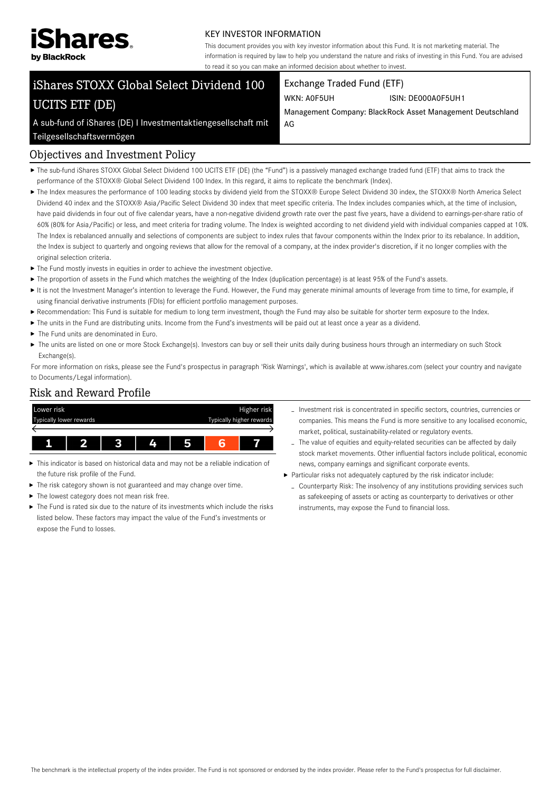

#### KEY INVESTOR INFORMATION

This document provides you with key investor information about this Fund. It is not marketing material. The information is required by law to help you understand the nature and risks of investing in this Fund. You are advised to read it so you can make an informed decision about whether to invest.

# iShares STOXX Global Select Dividend 100 UCITS ETF (DE)

A sub-fund of iShares (DE) I Investmentaktiengesellschaft mit

## Exchange Traded Fund (ETF)

WKN: A0F5UH ISIN: DE000A0F5UH1

Management Company: BlackRock Asset Management Deutschland AG

Teilgesellschaftsvermögen

## Objectives and Investment Policy

- ▶ The sub-fund iShares STOXX Global Select Dividend 100 UCITS ETF (DE) (the "Fund") is a passively managed exchange traded fund (ETF) that aims to track the performance of the STOXX® Global Select Dividend 100 Index. In this regard, it aims to replicate the benchmark (Index).
- ▶ The Index measures the performance of 100 leading stocks by dividend yield from the STOXX® Europe Select Dividend 30 index, the STOXX® North America Select Dividend 40 index and the STOXX® Asia/Pacific Select Dividend 30 index that meet specific criteria. The Index includes companies which, at the time of inclusion, have paid dividends in four out of five calendar years, have a non-negative dividend growth rate over the past five years, have a dividend to earnings-per-share ratio of 60% (80% for Asia/Pacific) or less, and meet criteria for trading volume. The Index is weighted according to net dividend yield with individual companies capped at 10%. The Index is rebalanced annually and selections of components are subject to index rules that favour components within the Index prior to its rebalance. In addition, the Index is subject to quarterly and ongoing reviews that allow for the removal of a company, at the index provider's discretion, if it no longer complies with the original selection criteria.
- The Fund mostly invests in equities in order to achieve the investment objective.
- The proportion of assets in the Fund which matches the weighting of the Index (duplication percentage) is at least 95% of the Fund's assets.
- It is not the Investment Manager's intention to leverage the Fund. However, the Fund may generate minimal amounts of leverage from time to time, for example, if using financial derivative instruments (FDIs) for efficient portfolio management purposes.
- Recommendation: This Fund is suitable for medium to long term investment, though the Fund may also be suitable for shorter term exposure to the Index.
- The units in the Fund are distributing units. Income from the Fund's investments will be paid out at least once a year as a dividend.
- ▶ The Fund units are denominated in Furo.
- ▶ The units are listed on one or more Stock Exchange(s). Investors can buy or sell their units daily during business hours through an intermediary on such Stock Exchange(s).

For more information on risks, please see the Fund's prospectus in paragraph 'Risk Warnings', which is available at www.ishares.com (select your country and navigate to Documents/Legal information).

#### Risk and Reward Profile



- This indicator is based on historical data and may not be a reliable indication of the future risk profile of the Fund.
- Þ The risk category shown is not guaranteed and may change over time.
- The lowest category does not mean risk free.
- The Fund is rated six due to the nature of its investments which include the risks listed below. These factors may impact the value of the Fund's investments or expose the Fund to losses.
- Investment risk is concentrated in specific sectors, countries, currencies or companies. This means the Fund is more sensitive to any localised economic, market, political, sustainability-related or regulatory events.
- The value of equities and equity-related securities can be affected by daily stock market movements. Other influential factors include political, economic news, company earnings and significant corporate events.
- Particular risks not adequately captured by the risk indicator include:
	- Counterparty Risk: The insolvency of any institutions providing services such as safekeeping of assets or acting as counterparty to derivatives or other instruments, may expose the Fund to financial loss.